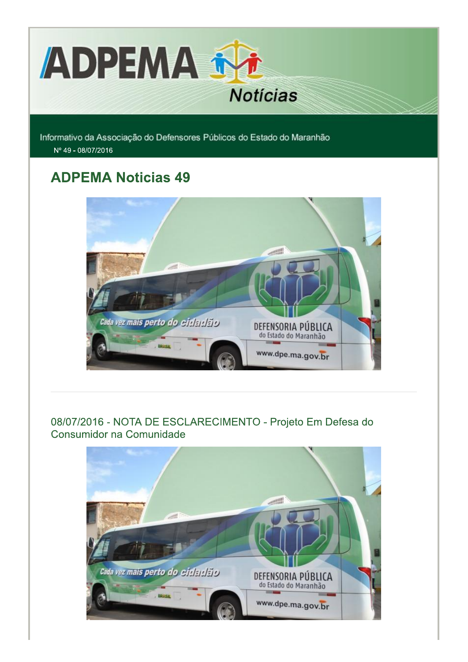

Informativo da Associação do Defensores Públicos do Estado do Maranhão Nº 49 - 08/07/2016

## **ADPEMA Noticias 49**



## 08/07/2016 - NOTA DE ESCLARECIMENTO - Projeto Em Defesa do Consumidor na Comunidade

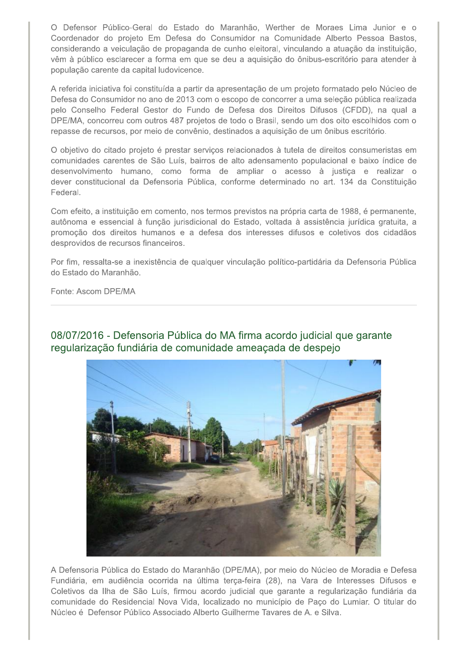O Defensor Público-Geral do Estado do Maranhão, Werther de Moraes Lima Junior e o Coordenador do projeto Em Defesa do Consumidor na Comunidade Alberto Pessoa Bastos, considerando a veiculação de propaganda de cunho eleitoral, vinculando a atuação da instituição, vêm à público esclarecer a forma em que se deu a aquisição do ônibus-escritório para atender à população carente da capital ludovicence.

A referida iniciativa foi constituída a partir da apresentação de um projeto formatado pelo Núcleo de Defesa do Consumidor no ano de 2013 com o escopo de concorrer a uma seleção pública realizada pelo Conselho Federal Gestor do Fundo de Defesa dos Direitos Difusos (CFDD), na qual a DPE/MA, concorreu com outros 487 projetos de todo o Brasil, sendo um dos oito escolhidos com o repasse de recursos, por meio de convênio, destinados a aquisição de um ônibus escritório.

O objetivo do citado projeto é prestar serviços relacionados à tutela de direitos consumeristas em comunidades carentes de São Luís, bairros de alto adensamento populacional e baixo índice de desenvolvimento humano, como forma de ampliar o acesso à justiça e realizar o dever constitucional da Defensoria Pública, conforme determinado no art. 134 da Constituição Federal.

Com efeito, a instituição em comento, nos termos previstos na própria carta de 1988, é permanente, autônoma e essencial à função jurisdicional do Estado, voltada à assistência jurídica gratuita, a promoção dos direitos humanos e a defesa dos interesses difusos e coletivos dos cidadãos desprovidos de recursos financeiros.

Por fim, ressalta-se a inexistência de qualquer vinculação político-partidária da Defensoria Pública do Estado do Maranhão.

Fonte: Ascom DPE/MA

08/07/2016 - Defensoria Pública do MA firma acordo judicial que garante regularização fundiária de comunidade ameaçada de despejo



A Defensoria Pública do Estado do Maranhão (DPE/MA), por meio do Núcleo de Moradia e Defesa Fundiária, em audiência ocorrida na última terça-feira (28), na Vara de Interesses Difusos e Coletivos da Ilha de São Luís, firmou acordo judicial que garante a regularização fundiária da comunidade do Residencial Nova Vida, localizado no município de Paço do Lumiar. O titular do Núcleo é Defensor Público Associado Alberto Guilherme Tavares de A. e Silva.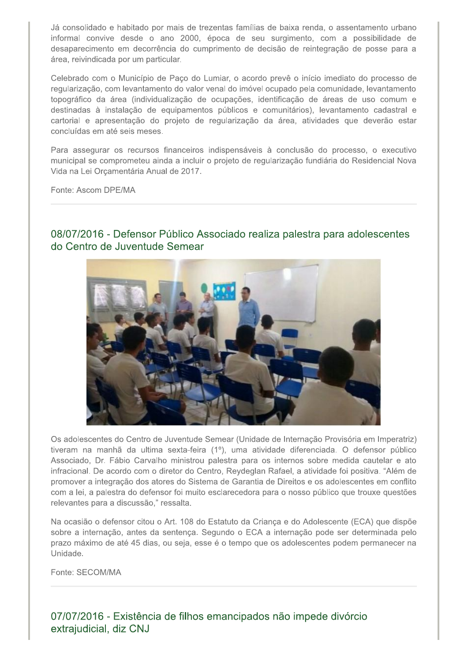Já consolidado e habitado por mais de trezentas famílias de baixa renda, o assentamento urbano informal convive desde o ano 2000, época de seu surgimento, com a possibilidade de desaparecimento em decorrência do cumprimento de decisão de reintegração de posse para a área, reivindicada por um particular.

Celebrado com o Município de Paço do Lumiar, o acordo prevê o início imediato do processo de regularização, com levantamento do valor venal do imóvel ocupado pela comunidade, levantamento topográfico da área (individualização de ocupações, identificação de áreas de uso comum e destinadas à instalação de equipamentos públicos e comunitários), levantamento cadastral e cartorial e apresentação do projeto de regularização da área, atividades que deverão estar concluídas em até seis meses.

Para assegurar os recursos financeiros indispensáveis à conclusão do processo, o executivo municipal se comprometeu ainda a incluir o projeto de regularização fundiária do Residencial Nova Vida na Lei Orçamentária Anual de 2017.

Fonte: Ascom DPE/MA



08/07/2016 - Defensor Público Associado realiza palestra para adolescentes do Centro de Juventude Semear

Os adolescentes do Centro de Juventude Semear (Unidade de Internação Provisória em Imperatriz) tiveram na manhã da ultima sexta-feira (1º), uma atividade diferenciada. O defensor público Associado, Dr. Fábio Carvalho ministrou palestra para os internos sobre medida cautelar e ato infracional. De acordo com o diretor do Centro, Reydeglan Rafael, a atividade foi positiva. "Além de promover a integração dos atores do Sistema de Garantia de Direitos e os adolescentes em conflito com a lei, a palestra do defensor foi muito esclarecedora para o nosso público que trouxe questões relevantes para a discussão," ressalta.

Na ocasião o defensor citou o Art. 108 do Estatuto da Criança e do Adolescente (ECA) que dispõe sobre a internação, antes da sentença. Segundo o ECA a internação pode ser determinada pelo prazo máximo de até 45 dias, ou seja, esse é o tempo que os adolescentes podem permanecer na Unidade.

Fonte: SECOM/MA

07/07/2016 - Existência de filhos emancipados não impede divórcio extrajudicial, diz CNJ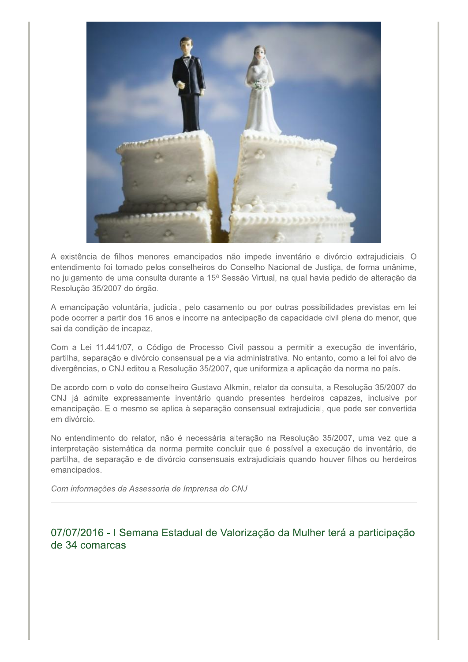

A existência de filhos menores emancipados não impede inventário e divórcio extrajudiciais. O entendimento foi tomado pelos conselheiros do Conselho Nacional de Justiça, de forma unânime, no julgamento de uma consulta durante a 15ª Sessão Virtual, na qual havia pedido de alteração da Resolução 35/2007 do órgão.

A emancipação voluntária, judicial, pelo casamento ou por outras possibilidades previstas em lei pode ocorrer a partir dos 16 anos e incorre na antecipação da capacidade civil plena do menor, que sai da condição de incapaz.

Com a Lei 11.441/07, o Código de Processo Civil passou a permitir a execução de inventário, partilha, separação e divórcio consensual pela via administrativa. No entanto, como a lei foi alvo de divergências, o CNJ editou a Resolução 35/2007, que uniformiza a aplicação da norma no país.

De acordo com o voto do conselheiro Gustavo Alkmin, relator da consulta, a Resolução 35/2007 do CNJ já admite expressamente inventário quando presentes herdeiros capazes, inclusive por emancipação. E o mesmo se aplica à separação consensual extrajudicial, que pode ser convertida em divórcio.

No entendimento do relator, não é necessária alteração na Resolução 35/2007, uma vez que a interpretação sistemática da norma permite concluir que é possível a execução de inventário, de partilha, de separação e de divórcio consensuais extrajudiciais quando houver filhos ou herdeiros emancipados.

Com informações da Assessoria de Imprensa do CNJ

07/07/2016 - I Semana Estadual de Valorização da Mulher terá a participação de 34 comarcas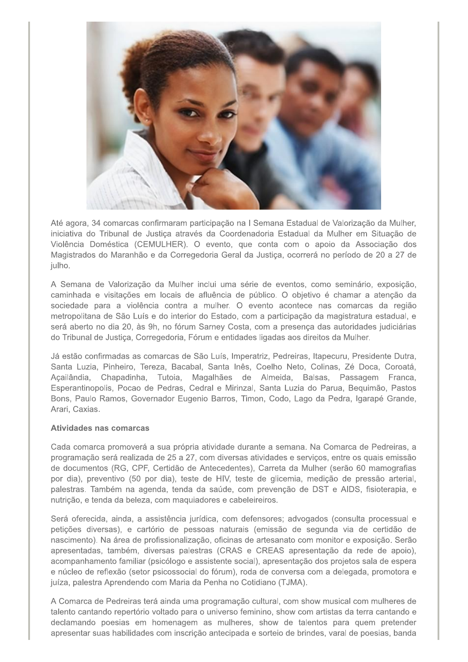

Até agora, 34 comarcas confirmaram participação na I Semana Estadual de Valorização da Mulher. iniciativa do Tribunal de Justica através da Coordenadoria Estadual da Mulher em Situação de Violência Doméstica (CEMULHER). O evento, que conta com o apoio da Associação dos Magistrados do Maranhão e da Corregedoria Geral da Justiça, ocorrerá no período de 20 a 27 de julho.

A Semana de Valorização da Mulher inclui uma série de eventos, como seminário, exposição, caminhada e visitações em locais de afluência de público. O objetivo é chamar a atenção da sociedade para a violência contra a mulher. O evento acontece nas comarcas da região metropolitana de São Luís e do interior do Estado, com a participação da magistratura estadual, e será aberto no dia 20, às 9h, no fórum Sarney Costa, com a presenca das autoridades judiciárias do Tribunal de Justiça, Corregedoria, Fórum e entidades ligadas aos direitos da Mulher.

Já estão confirmadas as comarcas de São Luís, Imperatriz, Pedreiras, Itapecuru, Presidente Dutra, Santa Luzia, Pinheiro, Tereza, Bacabal, Santa Inês, Coelho Neto, Colinas, Zé Doca, Coroatá, Acailândia, Chapadinha, Tutoia, Magalhães de Almeida, Balsas, Passagem Franca, Esperantinopolis, Pocao de Pedras, Cedral e Mirinzal, Santa Luzia do Parua, Bequimão, Pastos Bons, Paulo Ramos, Governador Eugenio Barros, Timon, Codo, Lago da Pedra, Igarapé Grande, Arari, Caxias.

## Atividades nas comarcas

Cada comarca promoverá a sua própria atividade durante a semana. Na Comarca de Pedreiras, a programação será realizada de 25 a 27, com diversas atividades e serviços, entre os quais emissão de documentos (RG, CPF, Certidão de Antecedentes), Carreta da Mulher (serão 60 mamografias por dia), preventivo (50 por dia), teste de HIV, teste de glicemia, medição de pressão arterial, palestras. Também na agenda, tenda da saúde, com prevenção de DST e AIDS, fisioterapia, e nutrição, e tenda da beleza, com maquiadores e cabeleireiros.

Será oferecida, ainda, a assistência jurídica, com defensores; advogados (consulta processual e petições diversas), e cartório de pessoas naturais (emissão de segunda via de certidão de nascimento). Na área de profissionalização, oficinas de artesanato com monitor e exposição. Serão apresentadas, também, diversas palestras (CRAS e CREAS apresentação da rede de apoio), acompanhamento familiar (psicólogo e assistente social), apresentação dos projetos sala de espera e núcleo de reflexão (setor psicossocial do fórum), roda de conversa com a delegada, promotora e juíza, palestra Aprendendo com Maria da Penha no Cotidiano (TJMA).

A Comarca de Pedreiras terá ainda uma programação cultural, com show musical com mulheres de talento cantando repertório voltado para o universo feminino, show com artistas da terra cantando e declamando poesias em homenagem as mulheres, show de talentos para quem pretender apresentar suas habilidades com inscrição antecipada e sorteio de brindes, varal de poesias, banda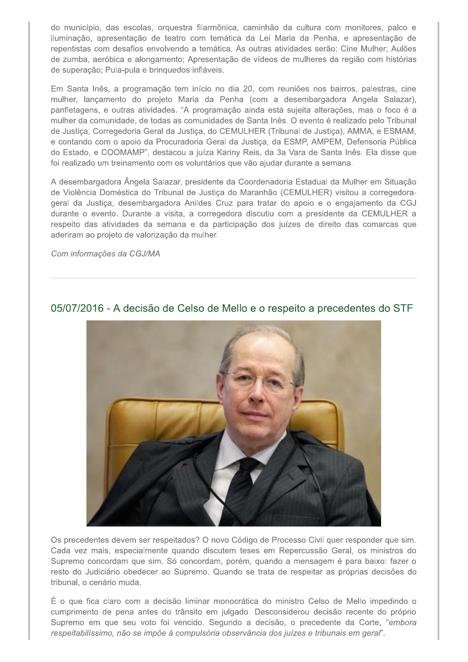do município, das escolas, orquestra filarmônica, caminhão da cultura com monitores, palco e iluminação, apresentação de teatro com temática da Lei Maria da Penha, e apresentação de repentistas com desafios envolvendo a temática. As outras atividades serão: Cine Mulher; Aulões de zumba, aeróbica e alongamento; Apresentação de vídeos de mulheres da região com histórias de superação; Pula-pula e brinquedos infláveis.

Em Santa Inês, a programação tem início no dia 20, com reuniões nos bairros, palestras, cine mulher, lançamento do projeto Maria da Penha (com a desembargadora Angela Salazar), panfletagens, e outras atividades. "A programação ainda está sujeita alterações, mas o foco é a mulher da comunidade, de todas as comunidades de Santa Inês. O evento é realizado pelo Tribunal de Justiça, Corregedoria Geral da Justiça, do CEMULHER (Tribunal de Justiça), AMMA, e ESMAM, e contando com o apoio da Procuradoria Geral da Justiça, da ESMP, AMPEM, Defensoria Pública do Estado, e COOMAMP", destacou a juíza Kariny Reis, da 3a Vara de Santa Inês. Ela disse que foi realizado um treinamento com os voluntários que vão ajudar durante a semana.

A desembargadora Ângela Salazar, presidente da Coordenadoria Estadual da Mulher em Situação de Violência Doméstica do Tribunal de Justiça do Maranhão (CEMULHER) visitou a corregedorageral da Justiça, desembargadora Anildes Cruz para tratar do apoio e o engajamento da CGJ durante o evento. Durante a visita, a corregedora discutiu com a presidente da CEMULHER a respeito das atividades da semana e da participação dos juízes de direito das comarcas que aderiram ao projeto de valorização da mulher.

Com informações da CGJ/MA



05/07/2016 - A decisão de Celso de Mello e o respeito a precedentes do STF

Os precedentes devem ser respeitados? O novo Código de Processo Civil quer responder que sim. Cada vez mais, especialmente quando discutem teses em Repercussão Geral, os ministros do Supremo concordam que sim. Só concordam, porém, quando a mensagem é para baixo: fazer o resto do Judiciário obedecer ao Supremo. Quando se trata de respeitar as próprias decisões do tribunal, o cenário muda.

É o que fica claro com a decisão liminar monocrática do ministro Celso de Mello impedindo o cumprimento de pena antes do trânsito em julgado. Desconsiderou decisão recente do próprio Supremo em que seu voto foi vencido. Segundo a decisão, o precedente da Corte, "embora respeitabilíssimo, não se impõe à compulsória observância dos juízes e tribunais em geral".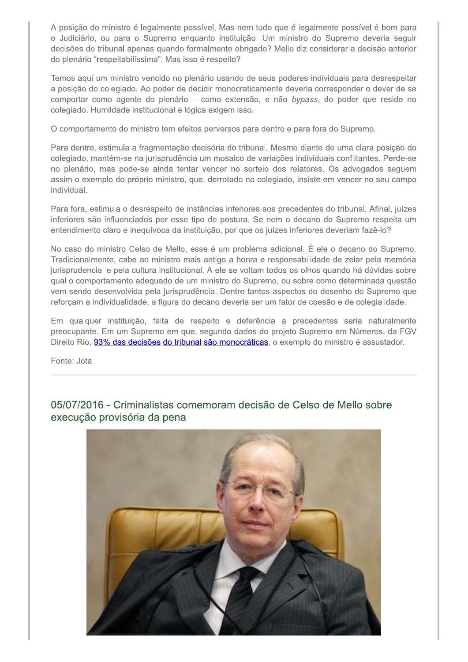A posição do ministro é legalmente possível. Mas nem tudo que é legalmente possível é bom para o Judiciário, ou para o Supremo enquanto instituição. Um ministro do Supremo deveria seguir decisões do tribunal apenas quando formalmente obrigado? Mello diz considerar a decisão anterior do plenário "respeitabilíssima". Mas isso é respeito?

Temos aqui um ministro vencido no plenário usando de seus poderes individuais para desrespeitar a posição do colegiado. Ao poder de decidir monocraticamente deveria corresponder o dever de se comportar como agente do plenário - como extensão, e não bypass, do poder que reside no colegiado. Humildade institucional e lógica exigem isso.

O comportamento do ministro tem efeitos perversos para dentro e para fora do Supremo.

Para dentro, estimula a fragmentação decisória do tribunal. Mesmo diante de uma clara posição do colegiado, mantém-se na jurisprudência um mosaico de variações individuais conflitantes. Perde-se no plenário, mas pode-se ainda tentar vencer no sorteio dos relatores. Os advogados seguem assim o exemplo do próprio ministro, que, derrotado no colegiado, insiste em vencer no seu campo individual.

Para fora, estimula o desrespeito de instâncias inferiores aos precedentes do tribunal. Afinal, juízes inferiores são influenciados por esse tipo de postura. Se nem o decano do Supremo respeita um entendimento claro e inequívoca da instituição, por que os juízes inferiores deveriam fazê-lo?

No caso do ministro Celso de Mello, esse é um problema adicional. É ele o decano do Supremo. Tradicionalmente, cabe ao ministro mais antigo a honra e responsabilidade de zelar pela memória jurisprudencial e pela cultura institucional. A ele se voltam todos os olhos quando há dúvidas sobre qual o comportamento adequado de um ministro do Supremo, ou sobre como determinada questão vem sendo desenvolvida pela jurisprudência. Dentre tantos aspectos do desenho do Supremo que reforçam a individualidade, a figura do decano deveria ser um fator de coesão e de colegialidade.

Em qualquer instituição, falta de respeito e deferência a precedentes seria naturalmente preocupante. Em um Supremo em que, segundo dados do projeto Supremo em Números, da FGV Direito Rio, 93% das decisões do tribunal são monocráticas, o exemplo do ministro é assustador.

Fonte: Jota

05/07/2016 - Criminalistas comemoram decisão de Celso de Mello sobre execução provisória da pena

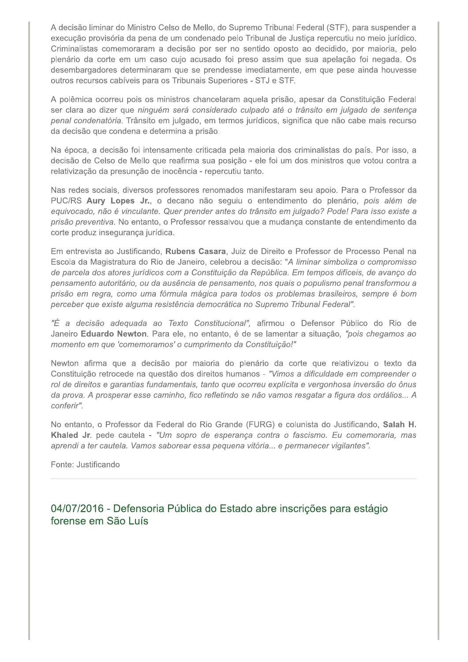A decisão liminar do Ministro Celso de Mello, do Supremo Tribunal Federal (STF), para suspender a execução provisória da pena de um condenado pelo Tribunal de Justiça repercutiu no meio jurídico. Criminalistas comemoraram a decisão por ser no sentido oposto ao decidido, por maioria, pelo plenário da corte em um caso cujo acusado foi preso assim que sua apelação foi negada. Os desembargadores determinaram que se prendesse imediatamente, em que pese ainda houvesse outros recursos cabíveis para os Tribunais Superiores - STJ e STF.

A polêmica ocorreu pois os ministros chancelaram aquela prisão, apesar da Constituição Federal ser clara ao dizer que ninguém será considerado culpado até o trânsito em julgado de sentença penal condenatória. Trânsito em julgado, em termos jurídicos, significa que não cabe mais recurso da decisão que condena e determina a prisão.

Na época, a decisão foi intensamente criticada pela maioria dos criminalistas do país. Por isso, a decisão de Celso de Mello que reafirma sua posição - ele foi um dos ministros que votou contra a relativização da presunção de inocência - repercutiu tanto.

Nas redes sociais, diversos professores renomados manifestaram seu apoio. Para o Professor da PUC/RS Aury Lopes Jr., o decano não seguiu o entendimento do plenário, pois além de equivocado, não é vinculante. Quer prender antes do trânsito em julgado? Pode! Para isso existe a prisão preventiva. No entanto, o Professor ressalvou que a mudança constante de entendimento da corte produz insegurança jurídica.

Em entrevista ao Justificando, Rubens Casara, Juiz de Direito e Professor de Processo Penal na Escola da Magistratura do Rio de Janeiro, celebrou a decisão: "A liminar simboliza o compromisso de parcela dos atores jurídicos com a Constituição da República. Em tempos difíceis, de avanço do pensamento autoritário, ou da ausência de pensamento, nos quais o populismo penal transformou a prisão em regra, como uma fórmula mágica para todos os problemas brasileiros, sempre é bom perceber que existe alguma resistência democrática no Supremo Tribunal Federal".

"É a decisão adequada ao Texto Constitucional", afirmou o Defensor Público do Rio de Janeiro Eduardo Newton. Para ele, no entanto, é de se lamentar a situação, "pois chegamos ao momento em que 'comemoramos' o cumprimento da Constituição!"

Newton afirma que a decisão por maioria do plenário da corte que relativizou o texto da Constituição retrocede na questão dos direitos humanos - "Vimos a dificuldade em compreender o rol de direitos e garantias fundamentais, tanto que ocorreu explícita e vergonhosa inversão do ônus da prova. A prosperar esse caminho, fico refletindo se não vamos resgatar a figura dos ordálios... A conferir".

No entanto, o Professor da Federal do Rio Grande (FURG) e colunista do Justificando, Salah H. Khaled Jr. pede cautela - "Um sopro de esperança contra o fascismo. Eu comemoraria, mas aprendi a ter cautela. Vamos saborear essa pequena vitória... e permanecer vigilantes".

Fonte: Justificando

04/07/2016 - Defensoria Pública do Estado abre inscrições para estágio forense em São Luís